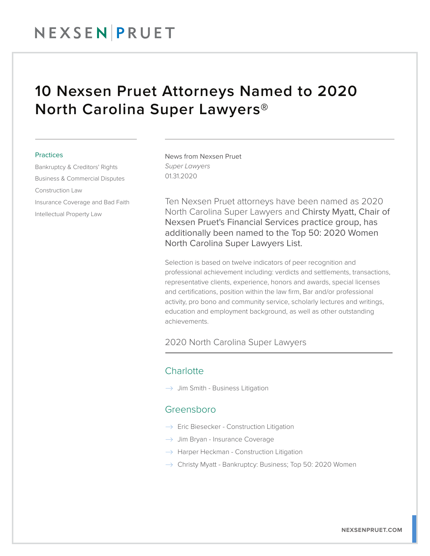## NEXSENPRUET

## 10 Nexsen Pruet Attorneys Named to 2020 North Carolina Super Lawyers®

#### **Practices**

Bankruptcy & Creditors' Rights Business & Commercial Disputes Construction Law Insurance Coverage and Bad Faith Intellectual Property Law

News from Nexsen Pruet *Super Lawyers* 01.31.2020

Ten Nexsen Pruet attorneys have been named as 2020 North Carolina Super Lawyers and Chirsty Myatt, Chair of Nexsen Pruet's Financial Services practice group, has additionally been named to the Top 50: 2020 Women North Carolina Super Lawyers List.

Selection is based on twelve indicators of peer recognition and professional achievement including: verdicts and settlements, transactions, representative clients, experience, honors and awards, special licenses and certifications, position within the law firm, Bar and/or professional activity, pro bono and community service, scholarly lectures and writings, education and employment background, as well as other outstanding achievements.

#### 2020 North Carolina Super Lawyers  $\overline{a}$

### **Charlotte**

 $\rightarrow$  Jim Smith - Business Litigation

#### Greensboro

- $\rightarrow$  Eric Biesecker Construction Litigation
- $\rightarrow$  Jim Bryan Insurance Coverage
- $\rightarrow$  Harper Heckman Construction Litigation
- $\rightarrow$  Christy Myatt Bankruptcy: Business; Top 50: 2020 Women